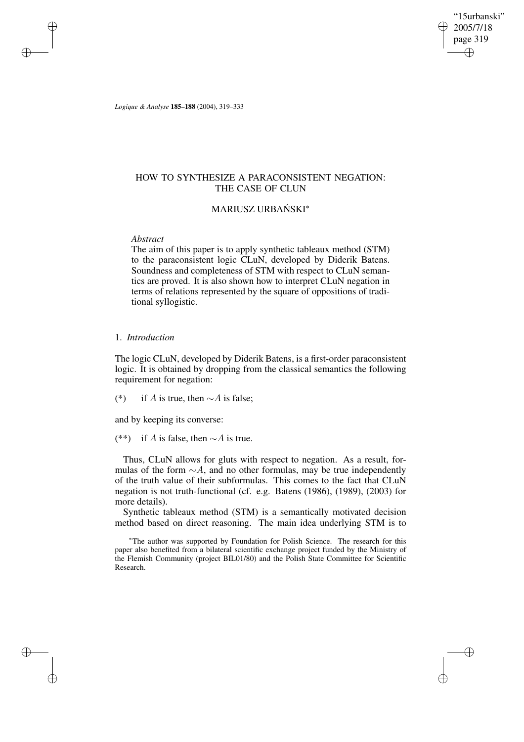"15urbanski" 2005/7/18 page 319 ✐ ✐

✐

✐

*Logique & Analyse* **185–188** (2004), 319–333

# HOW TO SYNTHESIZE A PARACONSISTENT NEGATION: THE CASE OF CLUN

# MARIUSZ URBAŃSKI\*

### *Abstract*

✐

✐

✐

✐

The aim of this paper is to apply synthetic tableaux method (STM) to the paraconsistent logic CLuN, developed by Diderik Batens. Soundness and completeness of STM with respect to CLuN semantics are proved. It is also shown how to interpret CLuN negation in terms of relations represented by the square of oppositions of traditional syllogistic.

### 1. *Introduction*

The logic CLuN, developed by Diderik Batens, is a first-order paraconsistent logic. It is obtained by dropping from the classical semantics the following requirement for negation:

(\*) if A is true, then  $\sim$ A is false;

and by keeping its converse:

(\*\*) if A is false, then  $\sim$ A is true.

Thus, CLuN allows for gluts with respect to negation. As a result, formulas of the form  $\sim A$ , and no other formulas, may be true independently of the truth value of their subformulas. This comes to the fact that CLuN negation is not truth-functional (cf. e.g. Batens (1986), (1989), (2003) for more details).

Synthetic tableaux method (STM) is a semantically motivated decision method based on direct reasoning. The main idea underlying STM is to

<sup>∗</sup>The author was supported by Foundation for Polish Science. The research for this paper also benefited from a bilateral scientific exchange project funded by the Ministry of the Flemish Community (project BIL01/80) and the Polish State Committee for Scientific Research.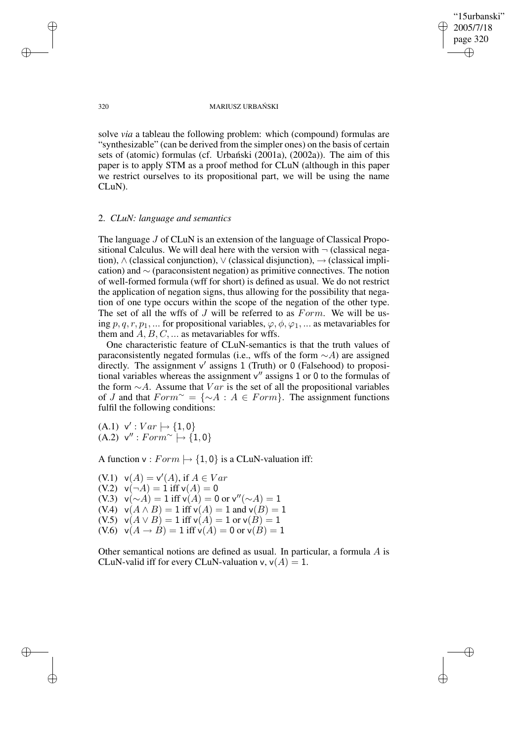"15urbanski" 2005/7/18 page 320 ✐ ✐

✐

✐

#### 320 MARIUSZ URBANSKI ´

solve *via* a tableau the following problem: which (compound) formulas are "synthesizable" (can be derived from the simpler ones) on the basis of certain sets of (atomic) formulas (cf. Urbanski  $(2001a)$ ,  $(2002a)$ ). The aim of this paper is to apply STM as a proof method for CLuN (although in this paper we restrict ourselves to its propositional part, we will be using the name CLuN).

## 2. *CLuN: language and semantics*

The language J of CLuN is an extension of the language of Classical Propositional Calculus. We will deal here with the version with  $\neg$  (classical negation),  $\wedge$  (classical conjunction),  $\vee$  (classical disjunction),  $\rightarrow$  (classical implication) and  $\sim$  (paraconsistent negation) as primitive connectives. The notion of well-formed formula (wff for short) is defined as usual. We do not restrict the application of negation signs, thus allowing for the possibility that negation of one type occurs within the scope of the negation of the other type. The set of all the wffs of  $J$  will be referred to as  $Form$ . We will be using  $p, q, r, p_1, \dots$  for propositional variables,  $\varphi, \varphi, \varphi_1, \dots$  as metavariables for them and  $A, B, C, \ldots$  as metavariables for wffs.

One characteristic feature of CLuN-semantics is that the truth values of paraconsistently negated formulas (i.e., wffs of the form  $\sim$ A) are assigned directly. The assignment  $v'$  assigns 1 (Truth) or 0 (Falsehood) to propositional variables whereas the assignment  $v''$  assigns 1 or 0 to the formulas of the form  $\sim A$ . Assume that  $Var$  is the set of all the propositional variables of J and that  $Form^{\sim} = \{\sim A : A \in Form\}$ . The assignment functions fulfil the following conditions:

 $(A.1) \;\mathsf{v}' : Var \mapsto \{1,0\}$  $(A.2) \;\mathsf{v}'' : Form^{\sim} \mapsto \{1,0\}$ 

A function  $v : Form \rightarrow \{1, 0\}$  is a CLuN-valuation iff:

 $(V.1) \quad v(A) = v'(A), \text{ if } A \in Var$ (V.2)  $v(\neg A) = 1$  iff  $v(A) = 0$ (V.3)  $v(\sim A) = 1$  iff  $v(A) = 0$  or  $v''(\sim A) = 1$ (V.4)  $v(A \wedge B) = 1$  iff  $v(A) = 1$  and  $v(B) = 1$ (V.5)  $v(A \lor B) = 1$  iff  $v(A) = 1$  or  $v(B) = 1$  $(V.6)$   $v(A \rightarrow B) = 1$  iff  $v(A) = 0$  or  $v(B) = 1$ 

Other semantical notions are defined as usual. In particular, a formula A is CLuN-valid iff for every CLuN-valuation v,  $v(A) = 1$ .

✐

✐

✐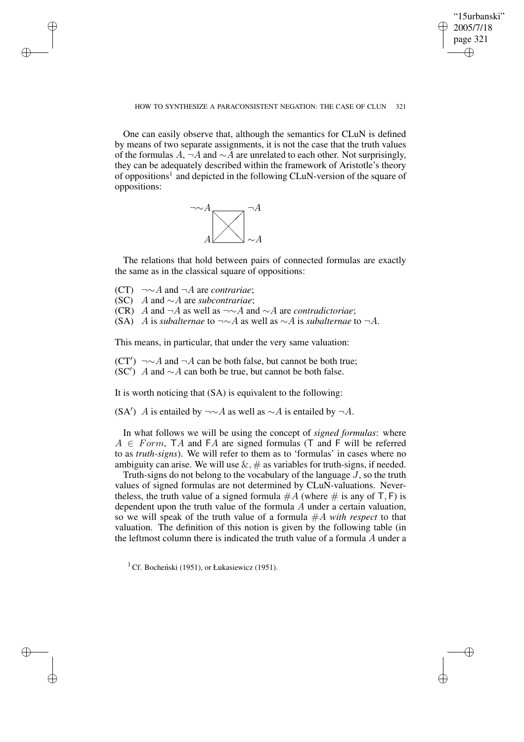✐

#### HOW TO SYNTHESIZE A PARACONSISTENT NEGATION: THE CASE OF CLUN 321

One can easily observe that, although the semantics for CLuN is defined by means of two separate assignments, it is not the case that the truth values of the formulas  $A$ ,  $\neg A$  and  $\sim A$  are unrelated to each other. Not surprisingly, they can be adequately described within the framework of Aristotle's theory of oppositions<sup>1</sup> and depicted in the following CLuN-version of the square of oppositions:



The relations that hold between pairs of connected formulas are exactly the same as in the classical square of oppositions:

(CT) ¬∼A and ¬A are *contrariae*;

✐

✐

✐

✐

(SC) A and ∼A are *subcontrariae*;

- (CR) A and ¬A as well as ¬∼A and ∼A are *contradictoriae*;
- (SA) A is *subalternae* to ¬∼A as well as ∼A is *subalternae* to ¬A.

This means, in particular, that under the very same valuation:

 $(CT') \ \neg \sim A$  and  $\neg A$  can be both false, but cannot be both true;  $SC'$ ) *A* and ∼*A* can both be true, but cannot be both false.

It is worth noticing that  $(SA)$  is equivalent to the following:

(SA<sup>'</sup>) A is entailed by  $\neg \sim A$  as well as  $\sim A$  is entailed by  $\neg A$ .

In what follows we will be using the concept of *signed formulas*: where  $A \in Form$ , TA and FA are signed formulas (T and F will be referred to as *truth-signs*). We will refer to them as to 'formulas' in cases where no ambiguity can arise. We will use  $\&$ ,  $\#$  as variables for truth-signs, if needed.

Truth-signs do not belong to the vocabulary of the language J, so the truth values of signed formulas are not determined by CLuN-valuations. Nevertheless, the truth value of a signed formula  $#A$  (where  $#$  is any of T, F) is dependent upon the truth value of the formula  $A$  under a certain valuation, so we will speak of the truth value of a formula #A *with respect* to that valuation. The definition of this notion is given by the following table (in the leftmost column there is indicated the truth value of a formula A under a

<sup>1</sup> Cf. Bocheński (1951), or Łukasiewicz (1951).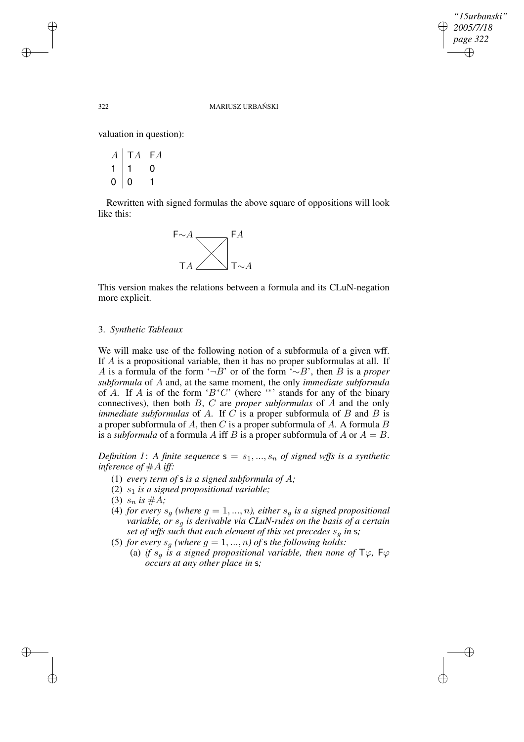✐

### 322 MARIUSZ URBANSKI ´

valuation in question):

| 4   | FA |
|-----|----|
|     | U  |
| . . |    |

Rewritten with signed formulas the above square of oppositions will look like this:



This version makes the relations between a formula and its CLuN-negation more explicit.

### 3. *Synthetic Tableaux*

We will make use of the following notion of a subformula of a given wff. If A is a propositional variable, then it has no proper subformulas at all. If A is a formula of the form '¬B' or of the form '∼B', then B is a *proper subformula* of A and, at the same moment, the only *immediate subformula* of A. If A is of the form ' $B^*C$ ' (where '\*' stands for any of the binary connectives), then both B, C are *proper subformulas* of A and the only *immediate subformulas* of A. If C is a proper subformula of B and B is a proper subformula of A, then C is a proper subformula of A. A formula B is a *subformula* of a formula A iff B is a proper subformula of A or  $A = B$ .

*Definition* 1: A *finite sequence*  $s = s_1, ..., s_n$  *of signed* wffs *is a synthetic inference of* #A *iff:*

- (1) *every term of* s *is a signed subformula of* A*;*
- (2) s1 *is a signed propositional variable;*
- (3)  $s_n$  *is*  $\#A$ ;
- (4) *for every*  $s_q$  *(where*  $q = 1, ..., n$ *), either*  $s_q$  *is a signed propositional variable, or* s<sup>g</sup> *is derivable via CLuN-rules on the basis of a certain set of wffs such that each element of this set precedes*  $s<sub>q</sub>$  *in* **s**;
- (5) *for every*  $s_q$  *(where*  $g = 1, ..., n$ *) of* **s** *the following holds:* 
	- (a) *if*  $s_q$  *is a signed propositional variable, then none of*  $\mathsf{T}\varphi$ ,  $\mathsf{F}\varphi$ *occurs at any other place in* s*;*

✐

✐

✐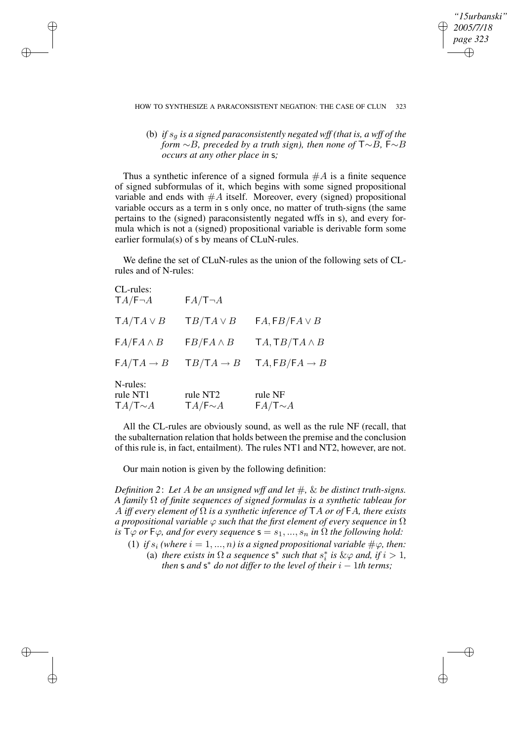✐

### HOW TO SYNTHESIZE A PARACONSISTENT NEGATION: THE CASE OF CLUN 323

(b) *if*  $s_q$  *is a* signed paraconsistently negated wff (that is, a wff of the *form* ∼B*, preceded by a truth sign), then none of* T∼B*,* F∼B *occurs at any other place in* s*;*

Thus a synthetic inference of a signed formula  $#A$  is a finite sequence of signed subformulas of it, which begins with some signed propositional variable and ends with  $#A$  itself. Moreover, every (signed) propositional variable occurs as a term in s only once, no matter of truth-signs (the same pertains to the (signed) paraconsistently negated wffs in s), and every formula which is not a (signed) propositional variable is derivable form some earlier formula(s) of s by means of CLuN-rules.

We define the set of CLuN-rules as the union of the following sets of CLrules and of N-rules:

| CL-rules:<br>$TA/\mathsf{F}\neg A$    | $FA/T \neg A$                      |                           |
|---------------------------------------|------------------------------------|---------------------------|
| $TA/TA \vee B$                        | $TB/TA \vee B$                     | $FA, FB/FA \vee B$        |
| $FA/FA \wedge B$                      | $FB/FA \wedge B$                   | $TA, TB/TA \wedge B$      |
| $FA/TA \rightarrow B$                 | $TB/TA \rightarrow B$              | $TA, FB/FA \rightarrow B$ |
| N-rules:<br>rule NT1<br>$TA/T \sim A$ | rule NT2<br>$TA/\mathsf{F} \sim A$ | rule NF<br>$FA/T \sim A$  |

✐

✐

✐

✐

All the CL-rules are obviously sound, as well as the rule NF (recall, that the subalternation relation that holds between the premise and the conclusion of this rule is, in fact, entailment). The rules NT1 and NT2, however, are not.

Our main notion is given by the following definition:

*Definition 2*: *Let* A *be an unsigned wff and let* #*,* & *be distinct truth-signs. A family* Ω *of finite sequences of signed formulas is a synthetic tableau for* A *iff every element of* Ω *is a synthetic inference of* TA *or of* FA*, there exists a propositional variable* ϕ *such that the first element of every sequence in* Ω *is*  $\mathsf{T}\varphi$  *or*  $\mathsf{F}\varphi$ *, and for every sequence*  $\mathsf{s} = s_1, ..., s_n$  *in*  $\Omega$  *the following hold:* 

(1) *if*  $s_i$  (where  $i = 1, ..., n$ ) is a signed propositional variable  $\#\varphi$ , then: (a) *there exists in*  $\Omega$  *a sequence* s<sup>\*</sup> *such that*  $s_i^*$  $i$ <sup>*i*</sup> *is* & $\varphi$  *and, if i* > 1*,* 

 $t$  *then* **s** and **s**<sup>\*</sup> *do not differ to the level of their*  $i - 1$ *th terms*;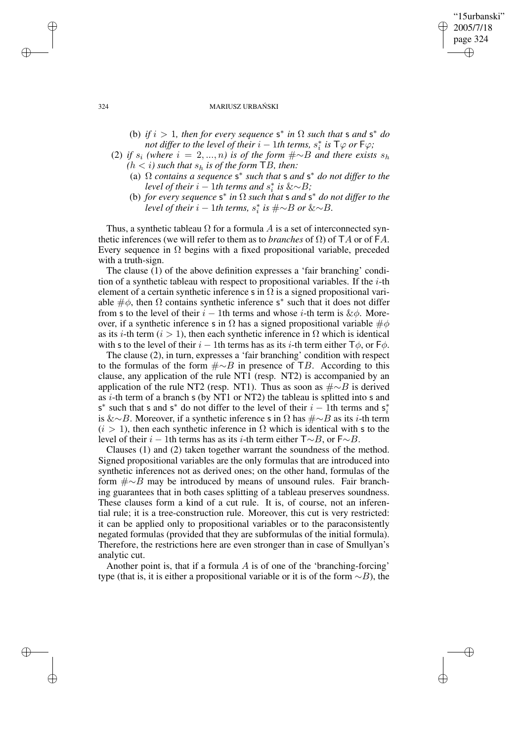### 324 MARIUSZ URBANSKI ´

(b) *if*  $i > 1$ *, then for every sequence*  $s^*$  *in*  $\Omega$  *such that*  $s$  *and*  $s^*$  *do*  $\frac{1}{2}$ ,  $\frac{1}{2}$ ,  $\frac{1}{2}$ ,  $\frac{1}{2}$ ,  $\frac{1}{2}$ ,  $\frac{1}{2}$ ,  $\frac{1}{2}$ ,  $\frac{1}{2}$ ,  $\frac{1}{2}$ ,  $\frac{1}{2}$ ,  $\frac{1}{2}$ ,  $\frac{1}{2}$ ,  $\frac{1}{2}$ ,  $\frac{1}{2}$ ,  $\frac{1}{2}$ ,  $\frac{1}{2}$ ,  $\frac{1}{2}$ ,  $\frac{1}{2}$ ,  $\frac{1}{2}$ ,  $\frac{1}{2}$ ,  $i$ <sup>\*</sup> *is* T $\varphi$  *or* F $\varphi$ *;* 

"15urbanski" 2005/7/18 page 324

✐

✐

✐

✐

- (2) *if*  $s_i$  (where  $i = 2, ..., n$ ) *is of the form*  $\#\sim B$  *and there exists*  $s_h$  $(h < i)$  *such that*  $s_h$  *is of the form* TB, *then:* 
	- (a) Ω *contains a sequence* s ∗ *such that* s *and* s <sup>∗</sup> *do not differ to the level of their*  $i - 1$ *th terms and*  $s_i^*$ i *is* &∼B*;*
	- (b) *for every sequence*  $s^*$  *in*  $\Omega$  *such that*  $s$  *and*  $s^*$  *do not differ to the*  $\int$ *level of their*  $i - 1$ *th terms,*  $s_i^*$ i *is* #∼B *or* &∼B*.*

Thus, a synthetic tableau  $\Omega$  for a formula A is a set of interconnected synthetic inferences (we will refer to them as to *branches* of  $\Omega$ ) of TA or of FA. Every sequence in  $\Omega$  begins with a fixed propositional variable, preceded with a truth-sign.

The clause (1) of the above definition expresses a 'fair branching' condition of a synthetic tableau with respect to propositional variables. If the  $i$ -th element of a certain synthetic inference s in  $\Omega$  is a signed propositional variable  $\#\phi$ , then  $\Omega$  contains synthetic inference s<sup>\*</sup> such that it does not differ from s to the level of their  $i - 1$ th terms and whose i-th term is & $\phi$ . Moreover, if a synthetic inference s in  $\Omega$  has a signed propositional variable  $\#\phi$ as its *i*-th term ( $i > 1$ ), then each synthetic inference in  $\Omega$  which is identical with s to the level of their  $i - 1$ th terms has as its i-th term either  $\mathsf{T}\phi$ , or  $\mathsf{F}\phi$ .

The clause (2), in turn, expresses a 'fair branching' condition with respect to the formulas of the form  $\# \sim B$  in presence of TB. According to this clause, any application of the rule NT1 (resp. NT2) is accompanied by an application of the rule NT2 (resp. NT1). Thus as soon as  $\#\sim B$  is derived as i-th term of a branch s (by NT1 or NT2) the tableau is splitted into s and s<sup>\*</sup> such that s and s<sup>\*</sup> do not differ to the level of their  $i - 1$ th terms and s<sub>i</sub><sup>\*</sup> i is &∼B. Moreover, if a synthetic inference s in  $Ω$  has  $#∼B$  as its *i*-th term  $(i > 1)$ , then each synthetic inference in  $\Omega$  which is identical with s to the level of their *i* − 1th terms has as its *i*-th term either  $T \sim B$ , or  $F \sim B$ .

Clauses (1) and (2) taken together warrant the soundness of the method. Signed propositional variables are the only formulas that are introduced into synthetic inferences not as derived ones; on the other hand, formulas of the form #∼B may be introduced by means of unsound rules. Fair branching guarantees that in both cases splitting of a tableau preserves soundness. These clauses form a kind of a cut rule. It is, of course, not an inferential rule; it is a tree-construction rule. Moreover, this cut is very restricted: it can be applied only to propositional variables or to the paraconsistently negated formulas (provided that they are subformulas of the initial formula). Therefore, the restrictions here are even stronger than in case of Smullyan's analytic cut.

Another point is, that if a formula A is of one of the 'branching-forcing' type (that is, it is either a propositional variable or it is of the form  $\sim$ B), the

✐

✐

✐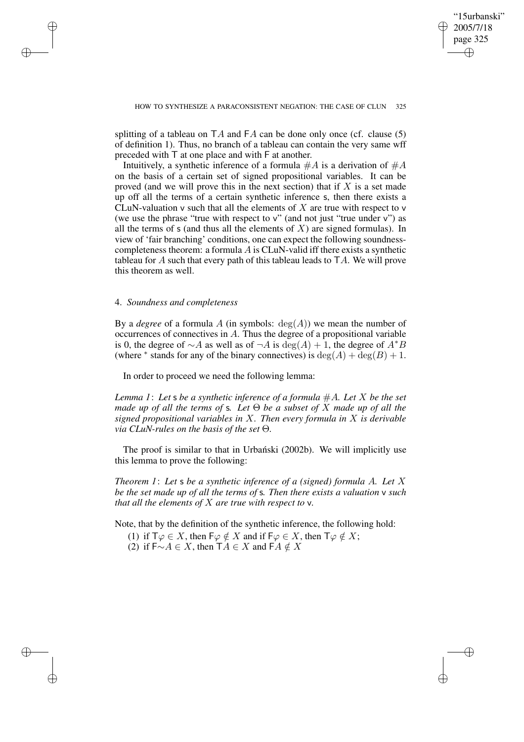✐

splitting of a tableau on  $TA$  and  $FA$  can be done only once (cf. clause (5) of definition 1). Thus, no branch of a tableau can contain the very same wff preceded with T at one place and with F at another.

Intuitively, a synthetic inference of a formula  $\#A$  is a derivation of  $\#A$ on the basis of a certain set of signed propositional variables. It can be proved (and we will prove this in the next section) that if  $X$  is a set made up off all the terms of a certain synthetic inference s, then there exists a CLuN-valuation  $\nu$  such that all the elements of  $X$  are true with respect to  $\nu$ (we use the phrase "true with respect to v" (and not just "true under v") as all the terms of  $s$  (and thus all the elements of  $X$ ) are signed formulas). In view of 'fair branching' conditions, one can expect the following soundnesscompleteness theorem: a formula  $\vec{A}$  is CLuN-valid iff there exists a synthetic tableau for A such that every path of this tableau leads to  $TA$ . We will prove this theorem as well.

## 4. *Soundness and completeness*

✐

✐

✐

✐

By a *degree* of a formula A (in symbols:  $deg(A)$ ) we mean the number of occurrences of connectives in A. Thus the degree of a propositional variable is 0, the degree of  $\sim$  A as well as of  $\neg A$  is deg(A) + 1, the degree of  $A^*B$ (where <sup>\*</sup> stands for any of the binary connectives) is  $deg(A) + deg(B) + 1$ .

In order to proceed we need the following lemma:

*Lemma* 1: Let **s** be a synthetic inference of a formula  $#A$ . Let X be the set *made up of all the terms of* s*. Let* Θ *be a subset of* X *made up of all the signed propositional variables in* X*. Then every formula in* X *is derivable via CLuN-rules on the basis of the set* Θ*.*

The proof is similar to that in Urbanski (2002b). We will implicitly use this lemma to prove the following:

*Theorem 1*: *Let* s *be a synthetic inference of a (signed) formula* A*. Let* X *be the set made up of all the terms of* s*. Then there exists a valuation* v *such that all the elements of* X *are true with respect to* v*.*

Note, that by the definition of the synthetic inference, the following hold:

(1) if  $\mathsf{T}\varphi \in X$ , then  $\mathsf{F}\varphi \notin X$  and if  $\mathsf{F}\varphi \in X$ , then  $\mathsf{T}\varphi \notin X$ ;

(2) if  $F \sim A \in X$ , then  $TA \in X$  and  $FA \notin X$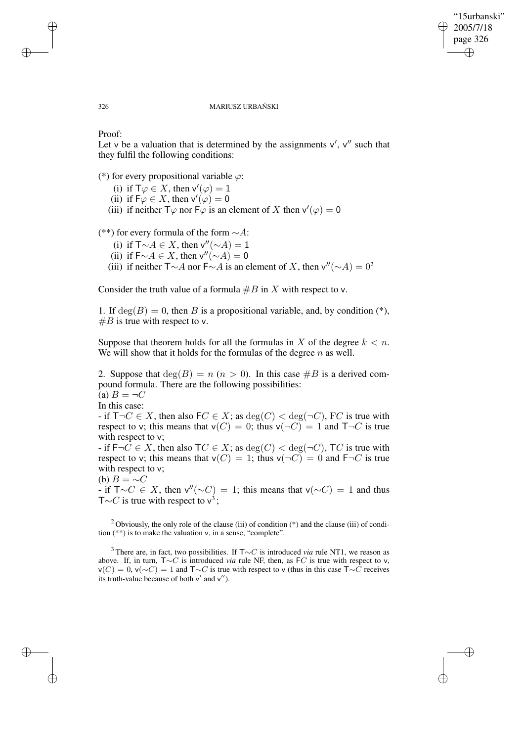✐

#### 326 MARIUSZ URBAŃSKI

Proof:

✐

✐

✐

✐

Let v be a valuation that is determined by the assignments  $v'$ ,  $v''$  such that they fulfil the following conditions:

(\*) for every propositional variable  $\varphi$ :

- (i) if  $\mathsf{T}\varphi \in X$ , then  $\mathsf{v}'(\varphi) = 1$
- (ii) if  $\overline{F\varphi} \in X$ , then  $\overline{v'(\varphi)} = 0$
- (iii) if neither  $\overline{T\varphi}$  nor  $\overline{F\varphi}$  is an element of X then  $v'(\varphi) = 0$

(\*\*) for every formula of the form ∼A:

- (i) if  $\overline{\mathsf{T}} \sim A \in X$ , then v''( $\sim A$ ) = 1
- (ii) if  $F \sim A \in X$ , then v''( $\sim A$ ) = 0
- (iii) if neither  $\mathsf{T} \sim A$  nor  $\mathsf{F} \sim A$  is an element of X, then v''( $\sim A$ ) = 0<sup>2</sup>

Consider the truth value of a formula  $\#B$  in X with respect to v.

1. If  $deg(B) = 0$ , then B is a propositional variable, and, by condition (\*),  $#B$  is true with respect to v.

Suppose that theorem holds for all the formulas in X of the degree  $k < n$ . We will show that it holds for the formulas of the degree  $n$  as well.

2. Suppose that  $deg(B) = n (n > 0)$ . In this case  $\#B$  is a derived compound formula. There are the following possibilities: (a)  $B = \neg C$ In this case: - if  $T\neg C \in X$ , then also  $FC \in X$ ; as  $\deg(C) < \deg(\neg C)$ , FC is true with respect to v; this means that  $v(C) = 0$ ; thus  $v(\neg C) = 1$  and  $T\neg C$  is true with respect to v; - if  $F\neg C \in X$ , then also  $TC \in X$ ; as  $\deg(C) < \deg(\neg C)$ ,  $TC$  is true with respect to v; this means that  $v(C) = 1$ ; thus  $v(\neg C) = 0$  and  $F\neg C$  is true

with respect to v; (b)  $B = \sim C$ 

 $\overrightarrow{I}$  if T∼ $C \in X$ , then v''(∼ $C$ ) = 1; this means that v(∼ $C$ ) = 1 and thus T∼C is true with respect to  $v^3$ ;

<sup>2</sup> Obviously, the only role of the clause (iii) of condition (\*) and the clause (iii) of condition (\*\*) is to make the valuation v, in a sense, "complete".

<sup>3</sup> There are, in fact, two possibilities. If T∼C is introduced *via* rule NT1, we reason as above. If, in turn, T∼C is introduced *via* rule NF, then, as FC is true with respect to v,  $v(C) = 0$ ,  $v(\sim C) = 1$  and T∼C is true with respect to v (thus in this case T∼C receives its truth-value because of both  $v'$  and  $v''$ ).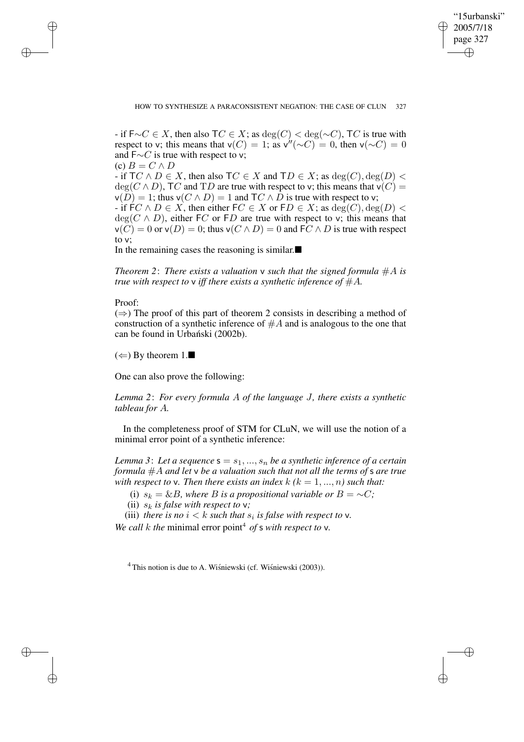✐

### HOW TO SYNTHESIZE A PARACONSISTENT NEGATION: THE CASE OF CLUN 327

- if  $F\sim C\in X$ , then also  $TC\in X$ ; as  $\deg(C) < \deg(\sim C)$ , TC is true with respect to v; this means that  $v(C) = 1$ ; as  $v''(\sim C) = 0$ , then  $v(\sim C) = 0$ and  $F \sim C$  is true with respect to v;  $(c) B = C \wedge D$ - if  $TC \wedge D \in X$ , then also  $TC \in X$  and  $TD \in X$ ; as  $deg(C), deg(D)$  $deg(C \wedge D)$ , TC and TD are true with respect to v; this means that  $v(C)$  =  $v(D) = 1$ ; thus  $v(C \wedge D) = 1$  and  $\mathsf{T}C \wedge D$  is true with respect to v; - if  $FC \wedge D \in X$ , then either  $FC \in X$  or  $FD \in X$ ; as  $deg(C), deg(D)$  $deg(C \wedge D)$ , either FC or FD are true with respect to v; this means that  $\nu(C) = 0$  or  $\nu(D) = 0$ ; thus  $\nu(C \wedge D) = 0$  and  $FC \wedge D$  is true with respect to v;

In the remaining cases the reasoning is similar. $\blacksquare$ 

*Theorem* 2: *There exists* a *valuation*  $\nu$  *such that the signed formula*  $\#A$  *is true* with respect to  $\nu$  *iff there exists a synthetic inference of*  $\#A$ *.* 

# Proof:

✐

✐

✐

✐

 $(\Rightarrow)$  The proof of this part of theorem 2 consists in describing a method of construction of a synthetic inference of  $#A$  and is analogous to the one that can be found in Urbański (2002b).

 $(\Leftarrow)$  By theorem 1.

One can also prove the following:

*Lemma 2*: *For every formula* A *of the language* J*, there exists a synthetic tableau for* A*.*

In the completeness proof of STM for CLuN, we will use the notion of a minimal error point of a synthetic inference:

*Lemma* 3: Let *a* sequence  $s = s_1, ..., s_n$  be *a synthetic inference of a certain formula* #A *and let* v *be a valuation such that not all the terms of* s *are true with respect to*  $v$ . *Then there exists an index*  $k$  ( $k = 1, ..., n$ ) *such that:* 

(i)  $s_k = \&B$ , *where B is a propositional variable or*  $B = \sim C$ *;* 

(ii)  $s_k$  *is false with respect to*  $v$ *;* 

(iii) *there is no*  $i < k$  *such that*  $s_i$  *is false with respect to*  $v$ *.* 

*We call k the minimal error point<sup>4</sup> of s <i>with respect to*  $v$ *.* 

 $4$  This notion is due to A. Wisnie wski (cf. Wisnie wski (2003)).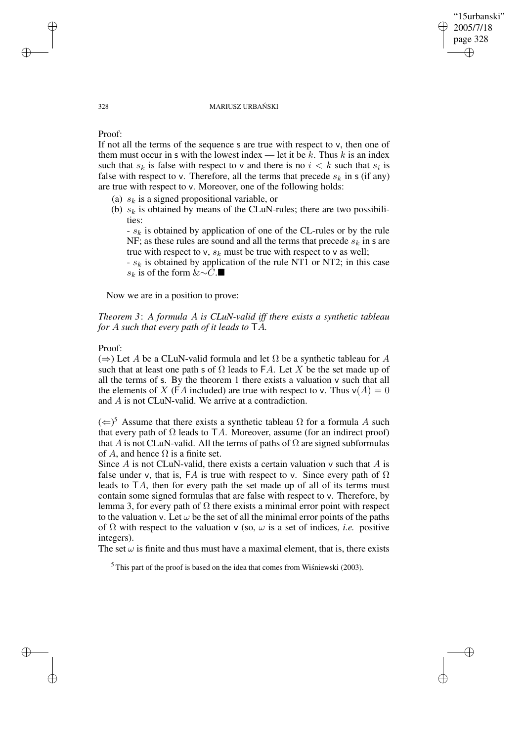#### 328 MARIUSZ URBANSKI ´

"15urbanski" 2005/7/18 page 328

✐

✐

✐

✐

# Proof:

If not all the terms of the sequence s are true with respect to v, then one of them must occur in s with the lowest index — let it be k. Thus k is an index such that  $s_k$  is false with respect to v and there is no  $i < k$  such that  $s_i$  is false with respect to v. Therefore, all the terms that precede  $s_k$  in s (if any) are true with respect to v. Moreover, one of the following holds:

- (a)  $s_k$  is a signed propositional variable, or
- (b)  $s_k$  is obtained by means of the CLuN-rules; there are two possibilities:

 $- s_k$  is obtained by application of one of the CL-rules or by the rule NF; as these rules are sound and all the terms that precede  $s_k$  in s are true with respect to v,  $s_k$  must be true with respect to v as well;

 $- s_k$  is obtained by application of the rule NT1 or NT2; in this case s<sub>k</sub> is of the form &∼C.■

Now we are in a position to prove:

# *Theorem 3*: *A formula* A *is CLuN-valid iff there exists a synthetic tableau for* A *such that every path of it leads to* TA*.*

### Proof:

 $(\Rightarrow)$  Let A be a CLuN-valid formula and let  $\Omega$  be a synthetic tableau for A such that at least one path s of  $\Omega$  leads to FA. Let X be the set made up of all the terms of s. By the theorem 1 there exists a valuation v such that all the elements of X (FA included) are true with respect to v. Thus  $v(A) = 0$ and A is not CLuN-valid. We arrive at a contradiction.

 $(\Leftarrow)^5$  Assume that there exists a synthetic tableau  $\Omega$  for a formula A such that every path of  $\Omega$  leads to TA. Moreover, assume (for an indirect proof) that A is not CLuN-valid. All the terms of paths of  $\Omega$  are signed subformulas of A, and hence  $\Omega$  is a finite set.

Since  $A$  is not CLuN-valid, there exists a certain valuation  $\nu$  such that  $A$  is false under v, that is, FA is true with respect to v. Since every path of  $\Omega$ leads to TA, then for every path the set made up of all of its terms must contain some signed formulas that are false with respect to v. Therefore, by lemma 3, for every path of  $\Omega$  there exists a minimal error point with respect to the valuation v. Let  $\omega$  be the set of all the minimal error points of the paths of  $\Omega$  with respect to the valuation v (so,  $\omega$  is a set of indices, *i.e.* positive integers).

The set  $\omega$  is finite and thus must have a maximal element, that is, there exists

 $<sup>5</sup>$  This part of the proof is based on the idea that comes from Wisniewski (2003).</sup>

✐

✐

✐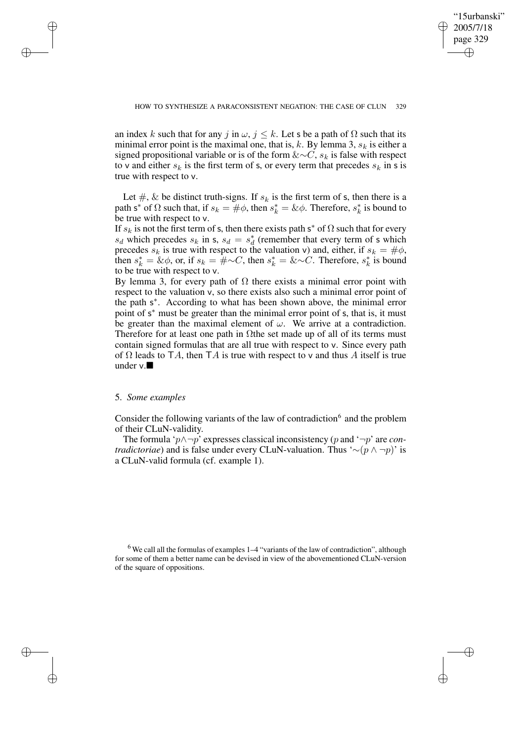✐

an index k such that for any j in  $\omega$ ,  $j \leq k$ . Let s be a path of  $\Omega$  such that its minimal error point is the maximal one, that is, k. By lemma 3,  $s_k$  is either a signed propositional variable or is of the form  $&\sim C$ ,  $s_k$  is false with respect to v and either  $s_k$  is the first term of s, or every term that precedes  $s_k$  in s is true with respect to v.

Let  $\#$ , & be distinct truth-signs. If  $s_k$  is the first term of s, then there is a path s<sup>\*</sup> of  $\Omega$  such that, if  $s_k = \#\phi$ , then  $s_k^* = \&\phi$ . Therefore,  $s_k^*$  $\frac{k}{k}$  is bound to be true with respect to v.

If  $s_k$  is not the first term of s, then there exists path s<sup>\*</sup> of  $\Omega$  such that for every  $s_d$  which precedes  $s_k$  in s,  $s_d = s_d^*$  $_d^*$  (remember that every term of s which precedes  $s_k$  is true with respect to the valuation v) and, either, if  $s_k = #\phi$ , then  $s_k^* = \& \phi$ , or, if  $s_k = #\sim C$ , then  $s_k^* = \& \sim C$ . Therefore,  $s_k^*$  $\frac{k}{k}$  is bound to be true with respect to v.

By lemma 3, for every path of  $\Omega$  there exists a minimal error point with respect to the valuation v, so there exists also such a minimal error point of the path s<sup>\*</sup>. According to what has been shown above, the minimal error point of s<sup>\*</sup> must be greater than the minimal error point of s, that is, it must be greater than the maximal element of  $\omega$ . We arrive at a contradiction. Therefore for at least one path in  $\Omega$ the set made up of all of its terms must contain signed formulas that are all true with respect to v. Since every path of  $\Omega$  leads to TA, then TA is true with respect to v and thus A itself is true under v.

#### 5. *Some examples*

✐

✐

✐

✐

Consider the following variants of the law of contradiction $6$  and the problem of their CLuN-validity.

The formula 'p∧¬p' expresses classical inconsistency (p and '¬p' are *contradictoriae*) and is false under every CLuN-valuation. Thus '∼(p ∧ ¬p)' is a CLuN-valid formula (cf. example 1).

 $6$  We call all the formulas of examples 1–4 "variants of the law of contradiction", although for some of them a better name can be devised in view of the abovementioned CLuN-version of the square of oppositions.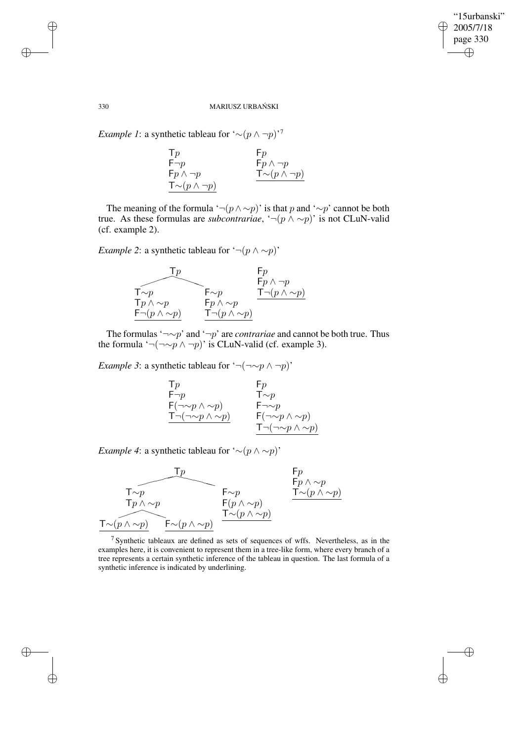$\bigoplus$ 

✐

### 330 MARIUSZ URBANSKI ´

*Example 1*: a synthetic tableau for  $^(\sim (p \land \neg p)$ <sup>,7</sup>

| $\mathsf{T} p$                      | $\mathsf{F} p$                     |
|-------------------------------------|------------------------------------|
| $F\neg p$                           | $Fp \wedge \neg p$                 |
| $Fp \wedge \neg p$                  | $\mathsf{T} \sim (p \land \neg p)$ |
| $\mathsf{T} \sim (p \wedge \neg p)$ |                                    |

The meaning of the formula '¬ $(p \wedge \sim p)$ ' is that p and ' $\sim p$ ' cannot be both true. As these formulas are *subcontrariae*,  $\neg(p \wedge \neg p)$  is not CLuN-valid (cf. example 2).

*Example* 2: a synthetic tableau for  $\lnot (p \land \sim p)$ '



The formulas'¬∼p' and '¬p' are *contrariae* and cannot be both true. Thus the formula '¬(¬∼p ∧ ¬p)' is CLuN-valid (cf. example 3).

*Example* 3: a synthetic tableau for '¬(¬∼ $p \wedge \neg p$ )'

$$
\begin{array}{lll} \mathsf{T}p & \mathsf{F}p\\ \mathsf{F} \neg p & \mathsf{T} \sim p\\ \mathsf{F}(\neg \mathop{\sim} p \wedge \mathop{\sim} p) & \mathsf{F} \neg \mathop{\sim} p\\ \mathsf{T} \neg (\neg \mathop{\sim} p \wedge \mathop{\sim} p) & \mathsf{F}(\neg \mathop{\sim} p \wedge \mathop{\sim} p)\\ \mathsf{T} \neg (\neg \mathop{\sim} p \wedge \mathop{\sim} p) & \mathsf{T} \neg (\neg \mathop{\sim} p \wedge \mathop{\sim} p) \end{array}
$$

*Example* 4: a synthetic tableau for '∼( $p \wedge \sim p$ )'



 $7$  Synthetic tableaux are defined as sets of sequences of wffs. Nevertheless, as in the examples here, it is convenient to represent them in a tree-like form, where every branch of a tree represents a certain synthetic inference of the tableau in question. The last formula of a synthetic inference is indicated by underlining.

✐

✐

✐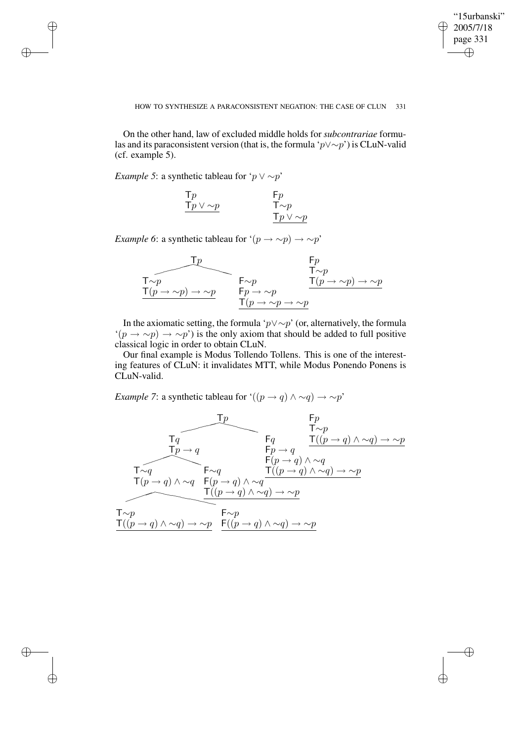$\bigoplus$ 

✐

## HOW TO SYNTHESIZE A PARACONSISTENT NEGATION: THE CASE OF CLUN 331

On the other hand, law of excluded middle holds for *subcontrariae* formulas and its paraconsistent version (that is, the formula 'p∨∼p') is CLuN-valid (cf. example 5).

*Example* 5: a synthetic tableau for ' $p \lor \sim p$ '

✐

✐

✐

✐

| $\mathsf{T} p$             | $F_p$                      |
|----------------------------|----------------------------|
| $\mathsf{T} p \vee \sim p$ | $\mathsf{T} \sim p$        |
|                            | $\mathsf{T} p \vee \sim p$ |

*Example* 6: a synthetic tableau for  $'(p \rightarrow \sim p) \rightarrow \sim p'$ 



In the axiomatic setting, the formula 'p∨∼p' (or, alternatively, the formula  $\hat{p}(p \to \sim p) \to \sim p'$ ) is the only axiom that should be added to full positive classical logic in order to obtain CLuN.

Our final example is Modus Tollendo Tollens. This is one of the interesting features of CLuN: it invalidates MTT, while Modus Ponendo Ponens is CLuN-valid.

*Example* 7: a synthetic tableau for ' $((p \rightarrow q) \land \sim q) \rightarrow \sim p'$ '

$$
\begin{array}{c}\n\uparrow p & \uparrow p \\
\hline\n\uparrow q & \uparrow \sim p \\
\hline\n\uparrow \sim q & \uparrow \sim p \\
\hline\n\uparrow \sim q & \uparrow \sim q \\
\hline\n\uparrow \sim q & \uparrow \sim q \\
\hline\n\uparrow \sim q & \uparrow \sim q \\
\hline\n\uparrow \sim q & \uparrow \sim q \\
\hline\n\uparrow \sim q & \uparrow \sim q \\
\hline\n\uparrow \sim q & \uparrow \sim q \\
\hline\n\uparrow \sim p & \uparrow \sim p \\
\hline\n\uparrow \sim p & \uparrow \sim p \\
\hline\n\uparrow \sim p & \uparrow \sim p \\
\hline\n\uparrow \sim p & \uparrow \sim p \\
\hline\n\uparrow \sim p & \uparrow \sim p \\
\hline\n\uparrow \sim p & \uparrow \sim p \\
\hline\n\uparrow \sim p & \uparrow \sim p \\
\hline\n\uparrow \sim p & \uparrow \sim p \\
\hline\n\uparrow \sim p & \uparrow \sim p \\
\hline\n\uparrow \sim p & \uparrow \sim p \\
\hline\n\uparrow \sim p & \uparrow \sim p \\
\hline\n\uparrow \sim p & \downarrow \sim q \rightarrow \sim p \\
\hline\n\uparrow \sim p & \downarrow \sim q \rightarrow \sim p \\
\hline\n\uparrow \sim p & \downarrow \sim p \\
\hline\n\uparrow \sim p & \downarrow \sim q \rightarrow \sim p \\
\hline\n\uparrow \sim p & \downarrow \sim q \rightarrow \sim p \\
\hline\n\downarrow \sim p & \downarrow \sim q \rightarrow \sim p \\
\hline\n\downarrow \sim p & \downarrow \sim q \rightarrow \sim p \\
\hline\n\downarrow \sim p & \downarrow \sim q \rightarrow \sim p \\
\hline\n\downarrow \sim p & \downarrow \sim p & \downarrow \sim p \\
\hline\n\downarrow \sim p & \downarrow \sim p & \downarrow \sim p \\
\hline\n\downarrow \sim p & \downarrow \sim p & \downarrow \sim p \\
\hline\n\downarrow \sim p & \downarrow \sim p & \downarrow \sim p \\
\hline\n\downarrow \sim p & \downarrow \sim p & \downarrow \sim p \\
\hline\n\downarrow \sim p & \downarrow \sim p & \downarrow \sim p \\
\hline\n\downarrow \sim p & \downarrow \sim p & \downarrow \sim p \\
\hline\n\downarrow \sim p & \downarrow \sim p & \downarrow \sim p \\
\hline\n\downarrow \sim p & \downarrow \sim p & \downarrow \sim
$$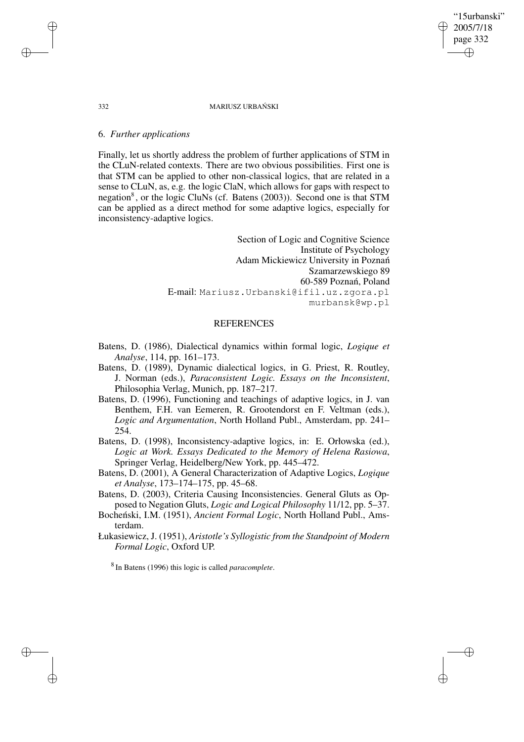#### 332 MARIUSZ URBANSKI ´

# 6. *Further applications*

Finally, let us shortly address the problem of further applications of STM in the CLuN-related contexts. There are two obvious possibilities. First one is that STM can be applied to other non-classical logics, that are related in a sense to CLuN, as, e.g. the logic ClaN, which allows for gaps with respect to negation<sup>8</sup>, or the logic CluNs (cf. Batens (2003)). Second one is that STM can be applied as a direct method for some adaptive logics, especially for inconsistency-adaptive logics.

> Section of Logic and Cognitive Science Institute of Psychology Adam Mickiewicz University in Poznan´ Szamarzewskiego 89 60-589 Poznań, Poland E-mail: Mariusz.Urbanski@ifil.uz.zgora.pl murbansk@wp.pl

# REFERENCES

- Batens, D. (1986), Dialectical dynamics within formal logic, *Logique et Analyse*, 114, pp. 161–173.
- Batens, D. (1989), Dynamic dialectical logics, in G. Priest, R. Routley, J. Norman (eds.), *Paraconsistent Logic. Essays on the Inconsistent*, Philosophia Verlag, Munich, pp. 187–217.
- Batens, D. (1996), Functioning and teachings of adaptive logics, in J. van Benthem, F.H. van Eemeren, R. Grootendorst en F. Veltman (eds.), *Logic and Argumentation*, North Holland Publ., Amsterdam, pp. 241– 254.
- Batens, D. (1998), Inconsistency-adaptive logics, in: E. Orłowska (ed.), *Logic at Work. Essays Dedicated to the Memory of Helena Rasiowa*, Springer Verlag, Heidelberg/New York, pp. 445–472.
- Batens, D. (2001), A General Characterization of Adaptive Logics, *Logique et Analyse*, 173–174–175, pp. 45–68.
- Batens, D. (2003), Criteria Causing Inconsistencies. General Gluts as Opposed to Negation Gluts, *Logic and Logical Philosophy* 11/12, pp. 5–37.
- Bocheński, I.M. (1951), *Ancient Formal Logic*, North Holland Publ., Amsterdam.
- Łukasiewicz, J. (1951), *Aristotle's Syllogistic from the Standpoint of Modern Formal Logic*, Oxford UP.

8 In Batens (1996) this logic is called *paracomplete*.

✐

✐

✐

✐

# "15urbanski" 2005/7/18 page 332 ✐ ✐

✐